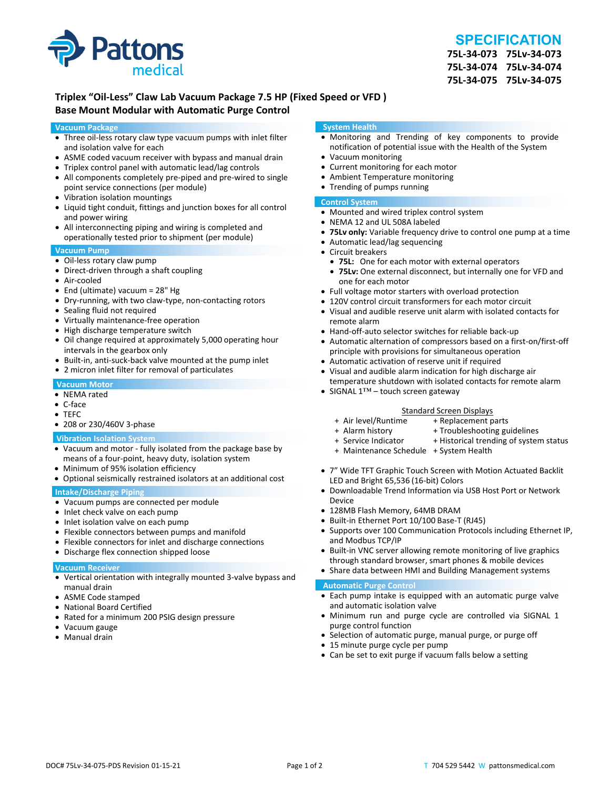

# **SPECIFICATION**

**75L‐34‐073 75Lv‐34‐073 75L‐34‐074 75Lv‐34‐074 75L‐34‐075 75Lv‐34‐075**

# **Triplex "Oil‐Less" Claw Lab Vacuum Package 7.5 HP (Fixed Speed or VFD ) Base Mount Modular with Automatic Purge Control**

#### **Vacuum Package**

- Three oil-less rotary claw type vacuum pumps with inlet filter and isolation valve for each
- ASME coded vacuum receiver with bypass and manual drain
- Triplex control panel with automatic lead/lag controls
- All components completely pre-piped and pre-wired to single point service connections (per module)
- Vibration isolation mountings
- Liquid tight conduit, fittings and junction boxes for all control and power wiring
- All interconnecting piping and wiring is completed and operationally tested prior to shipment (per module)

#### **Vacuum Pump**

- Oil-less rotary claw pump
- Direct-driven through a shaft coupling
- Air‐cooled
- End (ultimate) vacuum = 28" Hg
- Dry-running, with two claw-type, non-contacting rotors
- Sealing fluid not required
- Virtually maintenance-free operation
- High discharge temperature switch
- Oil change required at approximately 5,000 operating hour intervals in the gearbox only
- Built-in, anti-suck-back valve mounted at the pump inlet
- 2 micron inlet filter for removal of particulates

#### **Vacuum Motor**

- NEMA rated
- C‐face
- TEFC
- 208 or 230/460V 3-phase

#### **Vibration Isolation System**

- Vacuum and motor ‐ fully isolated from the package base by means of a four‐point, heavy duty, isolation system
- Minimum of 95% isolation efficiency
- Optional seismically restrained isolators at an additional cost

### **Intake/Discharge Piping**

- Vacuum pumps are connected per module
- Inlet check valve on each pump
- Inlet isolation valve on each pump
- Flexible connectors between pumps and manifold
- Flexible connectors for inlet and discharge connections
- Discharge flex connection shipped loose

#### **Vacuum Receiver**

- Vertical orientation with integrally mounted 3‐valve bypass and manual drain
- ASME Code stamped
- National Board Certified
- Rated for a minimum 200 PSIG design pressure
- Vacuum gauge
- Manual drain

#### **System Health**

- Monitoring and Trending of key components to provide notification of potential issue with the Health of the System
- Vacuum monitoring
- Current monitoring for each motor
- Ambient Temperature monitoring
- Trending of pumps running

## **Control System**

- Mounted and wired triplex control system
- NEMA 12 and UL 508A labeled
- **75Lv only:** Variable frequency drive to control one pump at a time
- Automatic lead/lag sequencing
- Circuit breakers
- **75L:** One for each motor with external operators
- **75Lv:** One external disconnect, but internally one for VFD and one for each motor
- Full voltage motor starters with overload protection
- 120V control circuit transformers for each motor circuit
- Visual and audible reserve unit alarm with isolated contacts for remote alarm
- Hand-off-auto selector switches for reliable back-up
- Automatic alternation of compressors based on a first-on/first-off principle with provisions for simultaneous operation
- Automatic activation of reserve unit if required
- Visual and audible alarm indication for high discharge air temperature shutdown with isolated contacts for remote alarm
- SIGNAL 1™ touch screen gateway

# Standard Screen Displays<br>Air level/Runtime + Replacement p +

- + Air level/Runtime + Replacement parts
- 
- + Troubleshooting guidelines
- + Service Indicator + Historical trending of system status
- + Maintenance Schedule + System Health
- 7" Wide TFT Graphic Touch Screen with Motion Actuated Backlit LED and Bright 65,536 (16‐bit) Colors
- Downloadable Trend Information via USB Host Port or Network Device
- 128MB Flash Memory, 64MB DRAM
- Built-in Ethernet Port 10/100 Base-T (RJ45)
- Supports over 100 Communication Protocols including Ethernet IP, and Modbus TCP/IP
- Built-in VNC server allowing remote monitoring of live graphics through standard browser, smart phones & mobile devices
- Share data between HMI and Building Management systems

#### **Automatic Purge Control**

- Each pump intake is equipped with an automatic purge valve and automatic isolation valve
- Minimum run and purge cycle are controlled via SIGNAL 1 purge control function
- Selection of automatic purge, manual purge, or purge off
- 15 minute purge cycle per pump
- Can be set to exit purge if vacuum falls below a setting